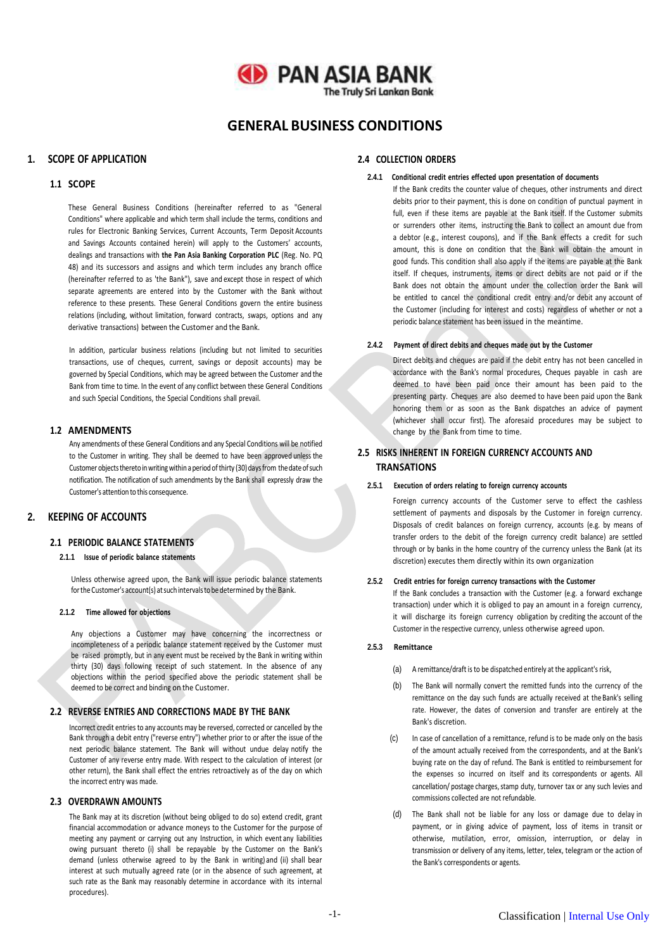# **GD PAN ASIA BANK The Truly Sri Lankan Bank**

**GENERAL BUSINESS CONDITIONS**

# **1. SCOPE OF APPLICATION**

#### **1.1 SCOPE**

These General Business Conditions (hereinafter referred to as "General Conditions" where applicable and which term shall include the terms, conditions and rules for Electronic Banking Services, Current Accounts, Term Deposit Accounts and Savings Accounts contained herein) will apply to the Customers' accounts, dealings and transactions with **the Pan Asia Banking Corporation PLC** (Reg. No. PQ 48) and its successors and assigns and which term includes any branch office (hereinafter referred to as 'the Bank"), save and except those in respect of which separate agreements are entered into by the Customer with the Bank without reference to these presents. These General Conditions govern the entire business relations (including, without limitation, forward contracts, swaps, options and any derivative transactions) between the Customer and the Bank.

In addition, particular business relations (including but not limited to securities transactions, use of cheques, current, savings or deposit accounts) may be governed by Special Conditions, which may be agreed between the Customer and the Bank from time to time. In the event of any conflict between these General Conditions and such Special Conditions, the Special Conditions shall prevail.

#### **1.2 AMENDMENTS**

Any amendments of these General Conditions and any Special Conditions will be notified to the Customer in writing. They shall be deemed to have been approved unless the Customer objects thereto in writing within a period of thirty (30) days from the date of such notification. The notification of such amendments by the Bank shall expressly draw the Customer's attention to this consequence.

# **2. KEEPING OF ACCOUNTS**

# **2.1 PERIODIC BALANCE STATEMENTS**

#### **2.1.1 Issue of periodic balance statements**

Unless otherwise agreed upon, the Bank will issue periodic balance statements for the Customer's account(s) at such intervals to be determined by the Bank.

#### **2.1.2 Time allowed for objections**

Any objections a Customer may have concerning the incorrectness or incompleteness of a periodic balance statement received by the Customer must be raised promptly, but in any event must be received by the Bank in writing within thirty (30) days following receipt of such statement. In the absence of any objections within the period specified above the periodic statement shall be deemed to be correct and binding on the Customer.

#### **2.2 REVERSE ENTRIES AND CORRECTIONS MADE BY THE BANK**

Incorrect credit entries to any accounts may be reversed, corrected or cancelled by the Bank through a debit entry ("reverse entry") whether prior to or after the issue of the next periodic balance statement. The Bank will without undue delay notify the Customer of any reverse entry made. With respect to the calculation of interest (or other return), the Bank shall effect the entries retroactively as of the day on which the incorrect entry was made.

#### **2.3 OVERDRAWN AMOUNTS**

The Bank may at its discretion (without being obliged to do so) extend credit, grant financial accommodation or advance moneys to the Customer for the purpose of meeting any payment or carrying out any Instruction, in which event any liabilities owing pursuant thereto (i) shall be repayable by the Customer on the Bank's demand (unless otherwise agreed to by the Bank in writing) and (ii) shall bear interest at such mutually agreed rate (or in the absence of such agreement, at such rate as the Bank may reasonably determine in accordance with its internal procedures).

#### **2.4 COLLECTION ORDERS**

#### **2.4.1 Conditional credit entries effected upon presentation of documents**

If the Bank credits the counter value of cheques, other instruments and direct debits prior to their payment, this is done on condition of punctual payment in full, even if these items are payable at the Bank itself. If the Customer submits or surrenders other items, instructing the Bank to collect an amount due from a debtor (e.g., interest coupons), and if the Bank effects a credit for such amount, this is done on condition that the Bank will obtain the amount in good funds. This condition shall also apply if the items are payable at the Bank itself. If cheques, instruments, items or direct debits are not paid or if the Bank does not obtain the amount under the collection order the Bank will be entitled to cancel the conditional credit entry and/or debit any account of the Customer (including for interest and costs) regardless of whether or not a periodic balance statement has been issued in the meantime.

#### **2.4.2 Payment of direct debits and cheques made out by the Customer**

Direct debits and cheques are paid if the debit entry has not been cancelled in accordance with the Bank's normal procedures, Cheques payable in cash are deemed to have been paid once their amount has been paid to the presenting party. Cheques are also deemed to have been paid upon the Bank honoring them or as soon as the Bank dispatches an advice of payment (whichever shall occur first). The aforesaid procedures may be subject to change by the Bank from time to time.

# **2.5 RISKS INHERENT IN FOREIGN CURRENCY ACCOUNTS AND TRANSATIONS**

#### **2.5.1 Execution of orders relating to foreign currency accounts**

Foreign currency accounts of the Customer serve to effect the cashless settlement of payments and disposals by the Customer in foreign currency. Disposals of credit balances on foreign currency, accounts (e.g. by means of transfer orders to the debit of the foreign currency credit balance) are settled through or by banks in the home country of the currency unless the Bank (at its discretion) executes them directly within its own organization

#### **2.5.2 Credit entries for foreign currency transactions with the Customer**

If the Bank concludes a transaction with the Customer (e.g. a forward exchange transaction) under which it is obliged to pay an amount in a foreign currency, it will discharge its foreign currency obligation by crediting the account of the Customer in the respective currency, unless otherwise agreed upon.

### **2.5.3 Remittance**

- (a) A remittance/draft is to be dispatched entirely at the applicant's risk,
- (b) The Bank will normally convert the remitted funds into the currency of the remittance on the day such funds are actually received at the Bank's selling rate. However, the dates of conversion and transfer are entirely at the Bank's discretion.
- (c) In case of cancellation of a remittance, refund is to be made only on the basis of the amount actually received from the correspondents, and at the Bank's buying rate on the day of refund. The Bank is entitled to reimbursement for the expenses so incurred on itself and its correspondents or agents. All cancellation/ postage charges, stamp duty, turnover tax or any such levies and commissions collected are not refundable.
- (d) The Bank shall not be liable for any loss or damage due to delay in payment, or in giving advice of payment, loss of items in transit or otherwise, mutilation, error, omission, interruption, or delay in transmission or delivery of any items, letter, telex, telegram or the action of the Bank's correspondents or agents.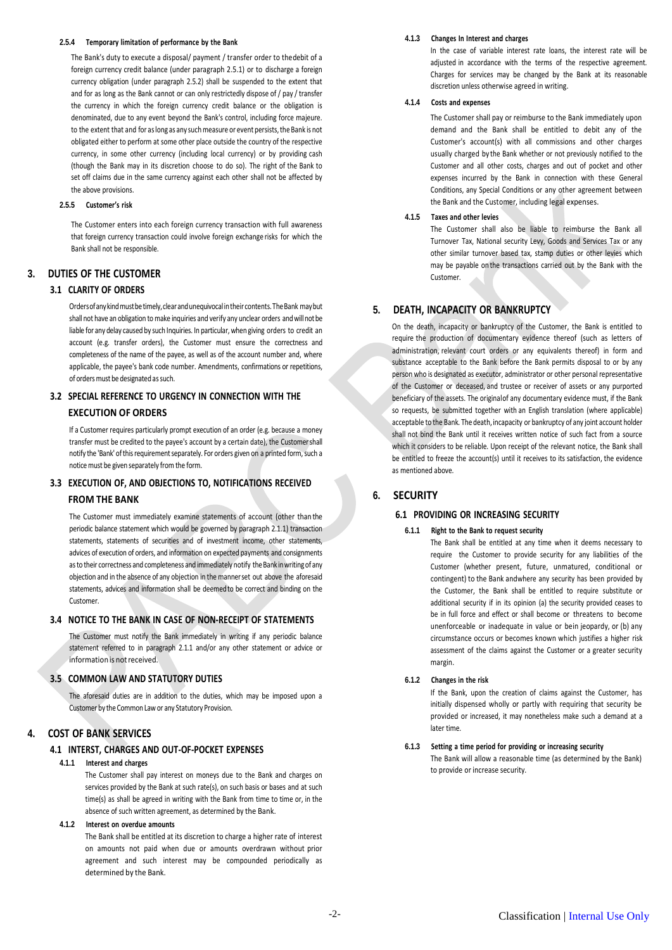#### **2.5.4 Temporary limitation of performance by the Bank**

The Bank's duty to execute a disposal/ payment / transfer order to thedebit of a foreign currency credit balance (under paragraph 2.5.1) or to discharge a foreign currency obligation (under paragraph 2.5.2) shall be suspended to the extent that and for as long as the Bank cannot or can only restrictedly dispose of / pay / transfer the currency in which the foreign currency credit balance or the obligation is denominated, due to any event beyond the Bank's control, including force majeure. to the extent that and for as long as any such measure or event persists, the Bank is not obligated either to perform at some other place outside the country of the respective currency, in some other currency (including local currency) or by providing cash (though the Bank may in its discretion choose to do so). The right of the Bank to set off claims due in the same currency against each other shall not be affected by the above provisions.

#### **2.5.5 Customer's risk**

The Customer enters into each foreign currency transaction with full awareness that foreign currency transaction could involve foreign exchange risks for which the Bank shall not be responsible.

### **3. DUTIES OF THE CUSTOMER**

# **3.1 CLARITY OF ORDERS**

Orders of any kind must be timely, clear and unequivocal in their contents. The Bank may but shall not have an obligation to make inquiries and verify any unclear orders and will not be liable for any delay caused by such Inquiries. In particular, when giving orders to credit an account (e.g. transfer orders), the Customer must ensure the correctness and completeness of the name of the payee, as well as of the account number and, where applicable, the payee's bank code number. Amendments, confirmations or repetitions, of orders must be designated as such.

# **3.2 SPECIAL REFERENCE TO URGENCY IN CONNECTION WITH THE EXECUTION OF ORDERS**

If a Customer requires particularly prompt execution of an order (e.g. because a money transfer must be credited to the payee's account by a certain date), the Customershall notify the 'Bank' of this requirement separately. For orders given on a printed form, such a notice must be given separately from the form.

# **3.3 EXECUTION OF, AND OBJECTIONS TO, NOTIFICATIONS RECEIVED**

# **FROM THE BANK**

The Customer must immediately examine statements of account (other than the periodic balance statement which would be governed by paragraph 2.1.1) transaction statements, statements of securities and of investment income, other statements, advices of execution of orders, and information on expected payments and consignments as to their correctness and completeness and immediately notify the Bank in writing of any objection and in the absence of any objection in the mannerset out above the aforesaid statements, advices and information shall be deemedto be correct and binding on the Customer.

#### **3.4 NOTICE TO THE BANK IN CASE OF NON-RECEIPT OF STATEMENTS**

The Customer must notify the Bank immediately in writing if any periodic balance statement referred to in paragraph 2.1.1 and/or any other statement or advice or information is not received.

# **3.5 COMMON LAW AND STATUTORY DUTIES**

The aforesaid duties are in addition to the duties, which may be imposed upon a Customer by the Common Law or any Statutory Provision.

# **4. COST OF BANK SERVICES**

# **4.1 INTERST, CHARGES AND OUT-OF-POCKET EXPENSES**

#### **4.1.1 Interest and charges**

The Customer shall pay interest on moneys due to the Bank and charges on services provided by the Bank at such rate(s), on such basis or bases and at such time(s) as shall be agreed in writing with the Bank from time to time or, in the absence of such written agreement, as determined by the Bank.

#### **4.1.2 Interest on overdue amounts**

The Bank shall be entitled at its discretion to charge a higher rate of interest on amounts not paid when due or amounts overdrawn without prior agreement and such interest may be compounded periodically as determined by the Bank.

#### **4.1.3 Changes In Interest and charges**

In the case of variable interest rate loans, the interest rate will be adjusted in accordance with the terms of the respective agreement. Charges for services may be changed by the Bank at its reasonable discretion unless otherwise agreed in writing.

#### **4.1.4 Costs and expenses**

The Customer shall pay or reimburse to the Bank immediately upon demand and the Bank shall be entitled to debit any of the Customer's account(s) with all commissions and other charges usually charged by the Bank whether or not previously notified to the Customer and all other costs, charges and out of pocket and other expenses incurred by the Bank in connection with these General Conditions, any Special Conditions or any other agreement between the Bank and the Customer, including legal expenses.

# **4.1.5 Taxes and other levies**

The Customer shall also be liable to reimburse the Bank all Turnover Tax, National security Levy, Goods and Services Tax or any other similar turnover based tax, stamp duties or other levies which may be payable on the transactions carried out by the Bank with the Customer.

# **5. DEATH, INCAPACITY OR BANKRUPTCY**

On the death, incapacity or bankruptcy of the Customer, the Bank is entitled to require the production of documentary evidence thereof (such as letters of administration, relevant court orders or any equivalents thereof) in form and substance acceptable to the Bank before the Bank permits disposal to or by any person who is designated as executor, administrator or other personal representative of the Customer or deceased, and trustee or receiver of assets or any purported beneficiary of the assets. The originalof any documentary evidence must, if the Bank so requests, be submitted together with an English translation (where applicable) acceptable to the Bank. The death, incapacity or bankruptcy of any joint account holder shall not bind the Bank until it receives written notice of such fact from a source which it considers to be reliable. Upon receipt of the relevant notice, the Bank shall be entitled to freeze the account(s) until it receives to its satisfaction, the evidence as mentioned above.

# **6. SECURITY**

#### **6.1 PROVIDING OR INCREASING SECURITY**

#### **6.1.1 Right to the Bank to request security**

The Bank shall be entitled at any time when it deems necessary to require the Customer to provide security for any liabilities of the Customer (whether present, future, unmatured, conditional or contingent) to the Bank andwhere any security has been provided by the Customer, the Bank shall be entitled to require substitute or additional security if in its opinion (a) the security provided ceases to be in full force and effect or shall become or threatens to become unenforceable or inadequate in value or bein jeopardy, or (b) any circumstance occurs or becomes known which justifies a higher risk assessment of the claims against the Customer or a greater security margin.

#### **6.1.2 Changes in the risk**

If the Bank, upon the creation of claims against the Customer, has initially dispensed wholly or partly with requiring that security be provided or increased, it may nonetheless make such a demand at a later time.

#### **6.1.3 Setting a time period for providing or increasing security**

The Bank will allow a reasonable time (as determined by the Bank) to provide or increase security.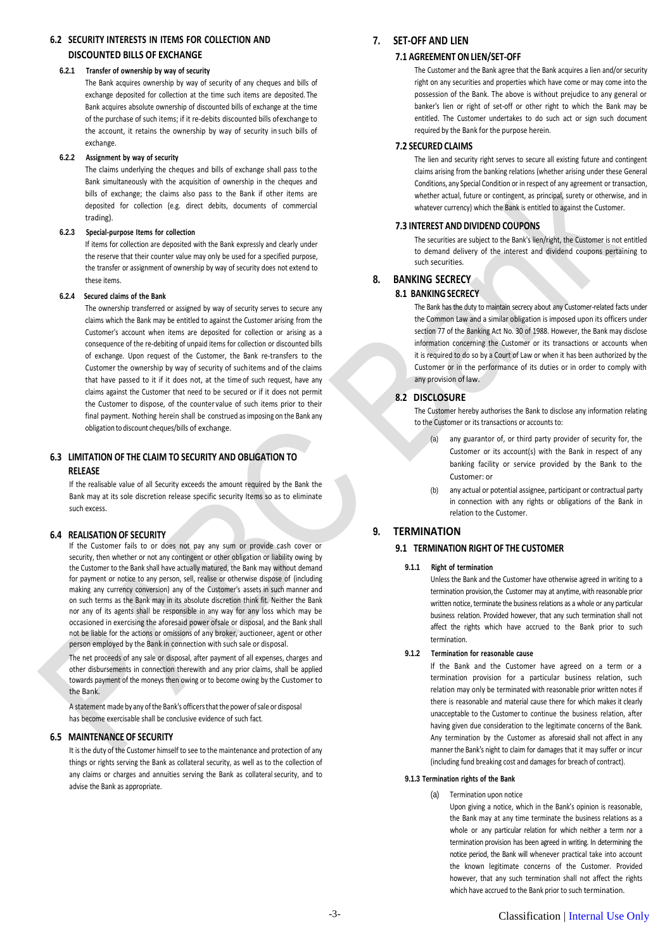# **6.2 SECURITY INTERESTS IN ITEMS FOR COLLECTION AND DISCOUNTED BILLS OF EXCHANGE**

#### **6.2.1 Transfer of ownership by way of security**

The Bank acquires ownership by way of security of any cheques and bills of exchange deposited for collection at the time such items are deposited. The Bank acquires absolute ownership of discounted bills of exchange at the time of the purchase of such items; if it re-debits discounted bills of exchange to the account, it retains the ownership by way of security in such bills of exchange.

#### **6.2.2 Assignment by way of security**

The claims underlying the cheques and bills of exchange shall pass to the Bank simultaneously with the acquisition of ownership in the cheques and bills of exchange; the claims also pass to the Bank if other items are deposited for collection (e.g. direct debits, documents of commercial trading).

#### **6.2.3 Special-purpose Items for collection**

If items for collection are deposited with the Bank expressly and clearly under the reserve that their counter value may only be used for a specified purpose, the transfer or assignment of ownership by way of security does not extend to these items.

### **6.2.4 Secured claims of the Bank**

The ownership transferred or assigned by way of security serves to secure any claims which the Bank may be entitled to against the Customer arising from the Customer's account when items are deposited for collection or arising as a consequence of the re-debiting of unpaid items for collection or discounted bills of exchange. Upon request of the Customer, the Bank re-transfers to the Customer the ownership by way of security of suchitems and of the claims that have passed to it if it does not, at the time of such request, have any claims against the Customer that need to be secured or if it does not permit the Customer to dispose, of the counter value of such items prior to their final payment. Nothing herein shall be construed as imposing on the Bank any obligation to discount cheques/bills of exchange.

# **6.3 LIMITATION OF THE CLAIM TO SECURITY AND OBLIGATION TO RELEASE**

If the realisable value of all Security exceeds the amount required by the Bank the Bank may at its sole discretion release specific security Items so as to eliminate such excess.

#### **6.4 REALISATION OF SECURITY**

If the Customer fails to or does not pay any sum or provide cash cover or security, then whether or not any contingent or other obligation or liability owing by the Customer to the Bank shall have actually matured, the Bank may without demand for payment or notice to any person, sell, realise or otherwise dispose of (including making any currency conversion) any of the Customer's assets in such manner and on such terms as the Bank may in its absolute discretion think fit. Neither the Bank nor any of its agents shall be responsible in any way for any loss which may be occasioned in exercising the aforesaid power ofsale or disposal, and the Bank shall not be liable for the actions or omissions of any broker, auctioneer, agent or other person employed by the Bank in connection with such sale or disposal.

The net proceeds of any sale or disposal, after payment of all expenses, charges and other disbursements in connection therewith and any prior claims, shall be applied towards payment of the moneys then owing or to become owing by the Customer to the Bank.

A statement made by any of the Bank's officers that the power of sale or disposal has become exercisable shall be conclusive evidence of such fact.

### **6.5 MAINTENANCE OF SECURITY**

It is the duty of the Customer himself to see to the maintenance and protection of any things or rights serving the Bank as collateral security, as well as to the collection of any claims or charges and annuities serving the Bank as collateral security, and to advise the Bank as appropriate.

# **7. SET-OFF AND LIEN**

#### **7.1 AGREEMENT ON LIEN/SET-OFF**

The Customer and the Bank agree that the Bank acquires a lien and/or security right on any securities and properties which have come or may come into the possession of the Bank. The above is without prejudice to any general or banker's lien or right of set-off or other right to which the Bank may be entitled. The Customer undertakes to do such act or sign such document required by the Bank for the purpose herein.

#### **7.2 SECURED CLAIMS**

The lien and security right serves to secure all existing future and contingent claims arising from the banking relations (whether arising under these General Conditions, any Special Condition or in respect of any agreement or transaction, whether actual, future or contingent, as principal, surety or otherwise, and in whatever currency) which the Bank is entitled to against the Customer.

#### **7.3 INTEREST AND DIVIDEND COUPONS**

The securities are subject to the Bank's lien/right, the Customer is not entitled to demand delivery of the interest and dividend coupons pertaining to such securities.

# **8. BANKING SECRECY**

### **8.1 BANKING SECRECY**

The Bank has the duty to maintain secrecy about any Customer-related facts under the Common Law and a similar obligation is imposed upon its officers under section 77 of the Banking Act No. 30 of 1988. However, the Bank may disclose information concerning the Customer or its transactions or accounts when it is required to do so by a Court of Law or when it has been authorized by the Customer or in the performance of its duties or in order to comply with any provision of law.

#### **8.2 DISCLOSURE**

The Customer hereby authorises the Bank to disclose any information relating to the Customer or its transactions or accounts to:

- (a) any guarantor of, or third party provider of security for, the Customer or its account(s) with the Bank in respect of any banking facility or service provided by the Bank to the Customer: or
- any actual or potential assignee, participant or contractual party in connection with any rights or obligations of the Bank in relation to the Customer.

# **9. TERMINATION**

# **9.1 TERMINATION RIGHT OF THE CUSTOMER**

#### **9.1.1 Right of termination**

Unless the Bank and the Customer have otherwise agreed in writing to a termination provision, the Customer may at anytime, with reasonable prior written notice, terminate the business relations as a whole or any particular business relation. Provided however, that any such termination shall not affect the rights which have accrued to the Bank prior to such termination.

#### **9.1.2 Termination for reasonable cause**

If the Bank and the Customer have agreed on a term or a termination provision for a particular business relation, such relation may only be terminated with reasonable prior written notes if there is reasonable and material cause there for which makes it clearly unacceptable to the Customer to continue the business relation, after having given due consideration to the legitimate concerns of the Bank. Any termination by the Customer as aforesaid shall not affect in any mannerthe Bank's night to claim for damages that it may suffer or incur (including fund breaking cost and damages for breach of contract).

#### **9.1.3 Termination rights of the Bank**

(a) Termination upon notice

Upon giving a notice, which in the Bank's opinion is reasonable, the Bank may at any time terminate the business relations as a whole or any particular relation for which neither a term nor a termination provision has been agreed in writing. In determining the notice period, the Bank will whenever practical take into account the known legitimate concerns of the Customer. Provided however, that any such termination shall not affect the rights which have accrued to the Bank prior to such termination.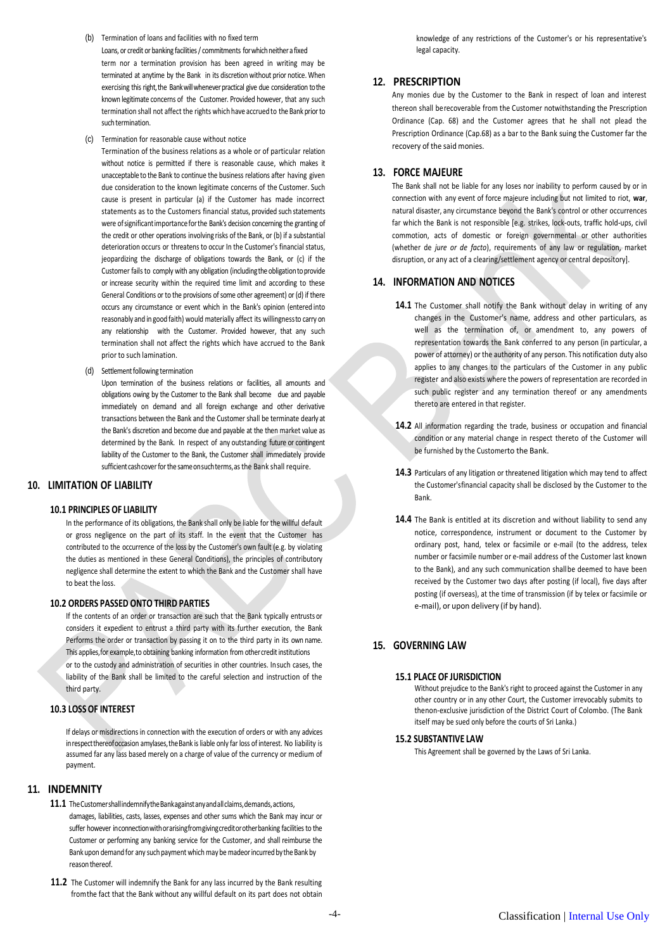- (b) Termination of loans and facilities with no fixed term Loans, or credit or banking facilities / commitments for which neither a fixed term nor a termination provision has been agreed in writing may be terminated at anytime by the Bank in its discretion without prior notice. When exercising this right, the Bank will whenever practical give due consideration to the known legitimate concerns of the Customer. Provided however, that any such termination shall not affect the rights which have accrued to the Bank priorto such termination.
- (c) Termination for reasonable cause without notice

Termination of the business relations as a whole or of particular relation without notice is permitted if there is reasonable cause, which makes it unacceptable to the Bank to continue the business relations after having given due consideration to the known legitimate concerns of the Customer. Such cause is present in particular (a) if the Customer has made incorrect statements as to the Customers financial status, provided such statements were of significant importance for the Bank's decision concerning the granting of the credit or other operations involving risks of the Bank, or (b) if a substantial deterioration occurs or threatens to occur In the Customer's financial status, jeopardizing the discharge of obligations towards the Bank, or (c) if the Customer fails to comply with any obligation (including the obligation to provide or increase security within the required time limit and according to these General Conditions or to the provisions of some other agreement) or (d) if there occurs any circumstance or event which in the Bank's opinion (entered into reasonably and in good faith) would materially affect its willingnessto carry on any relationship with the Customer. Provided however, that any such termination shall not affect the rights which have accrued to the Bank prior to such lamination.

(d) Settlement following termination

Upon termination of the business relations or facilities, all amounts and obligations owing by the Customer to the Bank shall become due and payable immediately on demand and all foreign exchange and other derivative transactions between the Bank and the Customer shall be terminate dearly at the Bank's discretion and become due and payable at the then market value as determined by the Bank. In respect of any outstanding future or contingent liability of the Customer to the Bank, the Customer shall immediately provide sufficient cash cover for the same on such terms, as the Bank shall require.

### **10. LIMITATION OF LIABILITY**

#### **10.1 PRINCIPLES OF LIABILITY**

In the performance of its obligations, the Bank shall only be liable for the willful default or gross negligence on the part of its staff. In the event that the Customer has contributed to the occurrence of the loss by the Customer's own fault (e.g. by violating the duties as mentioned in these General Conditions), the principles of contributory negligence shall determine the extent to which the Bank and the Customer shall have to beat the loss.

### **10.2 ORDERS PASSED ONTO THIRD PARTIES**

If the contents of an order or transaction are such that the Bank typically entrusts or considers it expedient to entrust a third party with its further execution, the Bank Performs the order or transaction by passing it on to the third party in its own name. This applies,for example,to obtaining banking information from othercredit institutions or to the custody and administration of securities in other countries. Insuch cases, the liability of the Bank shall be limited to the careful selection and instruction of the third party.

# **10.3 LOSS OF INTEREST**

If delays or misdirections in connection with the execution of orders or with any advices in respect thereof occasion amylases, the Bank is liable only far loss of interest. No liability is assumed far any lass based merely on a charge of value of the currency or medium of payment.

### **11. INDEMNITY**

- 11.1 The Customer shall indemnify the Bankagainst any and all claims, demands, actions, damages, liabilities, casts, lasses, expenses and other sums which the Bank may incur or suffer however inconnectionwithorarisingfromgivingcreditorotherbanking facilities to the Customer or performing any banking service for the Customer, and shall reimburse the Bank upon demand for any such payment which may be madeor incurred by the Bank by reason thereof.
- **11.2** The Customer will indemnify the Bank for any lass incurred by the Bank resulting fromthe fact that the Bank without any willful default on its part does not obtain

knowledge of any restrictions of the Customer's or his representative's legal capacity.

#### **12. PRESCRIPTION**

Any monies due by the Customer to the Bank in respect of loan and interest thereon shall berecoverable from the Customer notwithstanding the Prescription Ordinance (Cap. 68) and the Customer agrees that he shall not plead the Prescription Ordinance (Cap.68) as a bar to the Bank suing the Customer far the recovery of the said monies.

#### **13. FORCE MAJEURE**

The Bank shall not be liable for any loses nor inability to perform caused by or in connection with any event of force majeure including but not limited to riot, **war**, natural disaster, any circumstance beyond the Bank's control or other occurrences far which the Bank is not responsible [e.g. strikes, lock-outs, traffic hold-ups, civil commotion, acts of domestic or foreign governmental or other authorities (whether de *jure or de facto*), requirements of any law or regulation, market disruption, or any act of a clearing/settlement agency or central depository].

# **14. INFORMATION AND NOTICES**

- 14.1 The Customer shall notify the Bank without delay in writing of any changes in the Customer's name, address and other particulars, as well as the termination of, or amendment to, any powers of representation towards the Bank conferred to any person (in particular, a power of attorney) or the authority of any person. This notification duty also applies to any changes to the particulars of the Customer in any public register and also exists where the powers of representation are recorded in such public register and any termination thereof or any amendments thereto are entered in that register.
- 14.2 All information regarding the trade, business or occupation and financial condition or any material change in respect thereto of the Customer will be furnished by the Customerto the Bank.
- **14.3** Particulars of any litigation or threatened litigation which may tend to affect the Customer'sfinancial capacity shall be disclosed by the Customer to the Bank.
- **14.4** The Bank is entitled at its discretion and without liability to send any notice, correspondence, instrument or document to the Customer by ordinary post, hand, telex or facsimile or e-mail (to the address, telex number or facsimile number or e-mail address of the Customer last known to the Bank), and any such communication shallbe deemed to have been received by the Customer two days after posting (if local), five days after posting (if overseas), at the time of transmission (if by telex or facsimile or e-mail), or upon delivery (if by hand).

# **15. GOVERNING LAW**

#### **15.1 PLACE OF JURISDICTION**

Without prejudice to the Bank's right to proceed against the Customer in any other country or in any other Court, the Customer irrevocably submits to thenon-exclusive jurisdiction of the District Court of Colombo. (The Bank itself may be sued only before the courts of Sri Lanka.)

#### **15.2 SUBSTANTIVE LAW**

This Agreement shall be governed by the Laws of Sri Lanka.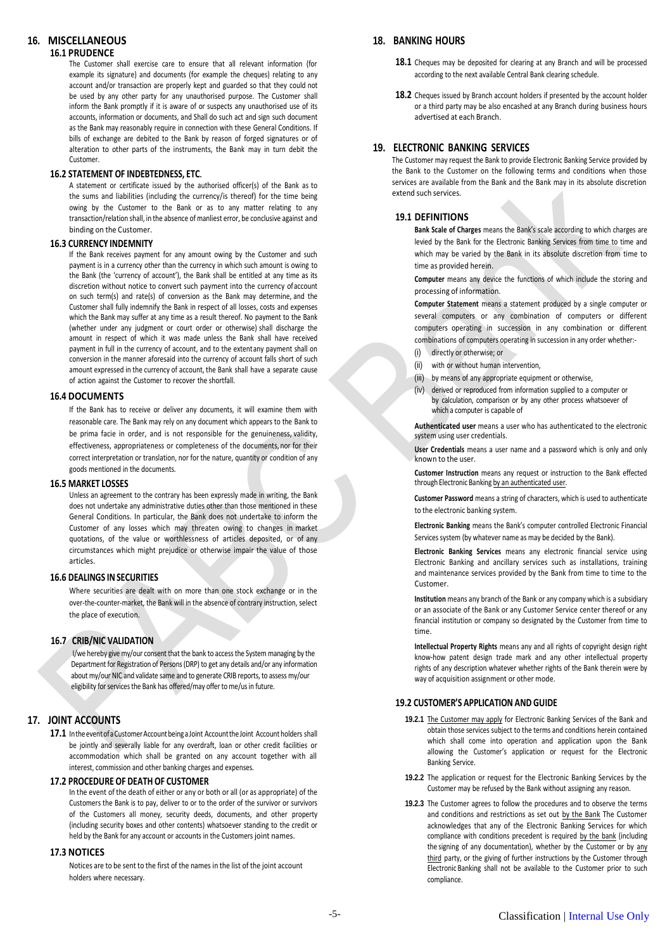# **16. MISCELLANEOUS**

# **16.1 PRUDENCE**

The Customer shall exercise care to ensure that all relevant information (for example its signature) and documents (for example the cheques) relating to any account and/or transaction are properly kept and guarded so that they could not be used by any other party for any unauthorised purpose. The Customer shall inform the Bank promptly if it is aware of or suspects any unauthorised use of its accounts, information or documents, and Shall do such act and sign such document as the Bank may reasonably require in connection with these General Conditions. If bills of exchange are debited to the Bank by reason of forged signatures or of alteration to other parts of the instruments, the Bank may in turn debit the Customer.

#### **16.2 STATEMENT OF INDEBTEDNESS, ETC.**

A statement or certificate issued by the authorised officer(s) of the Bank as to the sums and liabilities (including the currency/is thereof) for the time being owing by the Customer to the Bank or as to any matter relating to any transaction/relation shall, in the absence of manliest error, be conclusive against and binding on the Customer.

#### **16.3 CURRENCY INDEMNITY**

If the Bank receives payment for any amount owing by the Customer and such payment is in a currency other than the currency in which such amount is owing to the Bank (the 'currency of account'), the Bank shall be entitled at any time as its discretion without notice to convert such payment into the currency ofaccount on such term(s) and rate(s) of conversion as the Bank may determine, and the Customer shall fully indemnify the Bank in respect of all losses, costs and expenses which the Bank may suffer at any time as a result thereof. No payment to the Bank (whether under any judgment or court order or otherwise) shall discharge the amount in respect of which it was made unless the Bank shall have received payment in full in the currency of account, and to the extentany payment shall on conversion in the manner aforesaid into the currency of account falls short of such amount expressed in the currency of account, the Bank shall have a separate cause of action against the Customer to recover the shortfall.

#### **16.4 DOCUMENTS**

If the Bank has to receive or deliver any documents, it will examine them with reasonable care. The Bank may rely on any document which appears to the Bank to be prima facie in order, and is not responsible for the genuineness, validity, effectiveness, appropriateness or completeness of the documents, nor for their correct interpretation or translation, nor for the nature, quantity or condition of any goods mentioned in the documents.

#### **16.5 MARKET LOSSES**

Unless an agreement to the contrary has been expressly made in writing, the Bank does not undertake any administrative duties other than those mentioned in these General Conditions. In particular, the Bank does not undertake to inform the Customer of any losses which may threaten owing to changes in market quotations, of the value or worthlessness of articles deposited, or of any circumstances which might prejudice or otherwise impair the value of those articles.

#### **16.6 DEALINGS INSECURITIES**

Where securities are dealt with on more than one stock exchange or in the over-the-counter-market, the Bank will in the absence of contrary instruction, select the place of execution.

### **16.7 CRIB/NIC VALIDATION**

I/we hereby give my/our consent that the bank to access the System managing by the Department for Registration of Persons (DRP) to get any details and/or any information about my/our NIC and validate same and to generate CRIB reports, to assess my/our eligibility for services the Bank has offered/may offer to me/us in future.

# **17. JOINT ACCOUNTS**

17.1 In the event of a Customer Account being a Joint Account the Joint Account holders shall be jointly and severally liable for any overdraft, loan or other credit facilities or accommodation which shall be granted on any account together with all interest, commission and other banking charges and expenses.

#### **17.2 PROCEDURE OF DEATH OF CUSTOMER**

In the event of the death of either or any or both or all (or as appropriate) of the Customers the Bank is to pay, deliver to or to the order of the survivor or survivors of the Customers all money, security deeds, documents, and other property (including security boxes and other contents) whatsoever standing to the credit or held by the Bank for any account or accounts in the Customers joint names.

#### **17.3 NOTICES**

Notices are to be sent to the first of the names in the list of the joint account holders where necessary.

# **18. BANKING HOURS**

- 18.1 Cheques may be deposited for clearing at any Branch and will be processed according to the next available Central Bank clearing schedule.
- **18.2** Cheques issued by Branch account holders if presented by the account holder or a third party may be also encashed at any Branch during business hours advertised at each Branch.

# **19. ELECTRONIC BANKING SERVICES**

The Customer may request the Bank to provide Electronic Banking Service provided by the Bank to the Customer on the following terms and conditions when those services are available from the Bank and the Bank may in its absolute discretion extend such services.

# **19.1 DEFINITIONS**

**Bank Scale of Charges** means the Bank's scale according to which charges are levied by the Bank for the Electronic Banking Services from time to time and which may be varied by the Bank in its absolute discretion from time to time as provided herein.

**Computer** means any device the functions of which include the storing and processing of information.

**Computer Statement** means a statement produced by a single computer or several computers or any combination of computers or different computers operating in succession in any combination or different combinations of computers operating in succession in any order whether:-

- directly or otherwise; or
- (ii) with or without human intervention,
- (iii) by means of any appropriate equipment or otherwise,
- (iv) derived or reproduced from information supplied to a computer or by calculation, comparison or by any other process whatsoever of which a computer is capable of

**Authenticated user** means a user who has authenticated to the electronic system using user credentials.

**User Credentials** means a user name and a password which is only and only known to the user.

**Customer Instruction** means any request or instruction to the Bank effected through Electronic Banking by an authenticated user.

**Customer Password** means a string of characters, which is used to authenticate to the electronic banking system.

**Electronic Banking** means the Bank's computer controlled Electronic Financial Services system (by whatever name as may be decided by the Bank).

**Electronic Banking Services** means any electronic financial service using Electronic Banking and ancillary services such as installations, training and maintenance services provided by the Bank from time to time to the Customer.

**Institution** means any branch of the Bank or any company which is a subsidiary or an associate of the Bank or any Customer Service center thereof or any financial institution or company so designated by the Customer from time to time.

**Intellectual Property Rights** means any and all rights of copyright design right know-how patent design trade mark and any other intellectual property rights of any description whatever whether rights of the Bank therein were by way of acquisition assignment or other mode.

### **19.2 CUSTOMER'S APPLICATION AND GUIDE**

- 19.2.1 The Customer may apply for Electronic Banking Services of the Bank and obtain those services subject to the terms and conditions herein contained which shall come into operation and application upon the Bank allowing the Customer's application or request for the Electronic Banking Service.
- **19.2.2** The application or request for the Electronic Banking Services by the Customer may be refused by the Bank without assigning any reason.
- **19.2.3** The Customer agrees to follow the procedures and to observe the terms and conditions and restrictions as set out by the Bank The Customer acknowledges that any of the Electronic Banking Services for which compliance with conditions precedent is required by the bank (including the signing of any documentation), whether by the Customer or by any third party, or the giving of further instructions by the Customer through Electronic Banking shall not be available to the Customer prior to such compliance.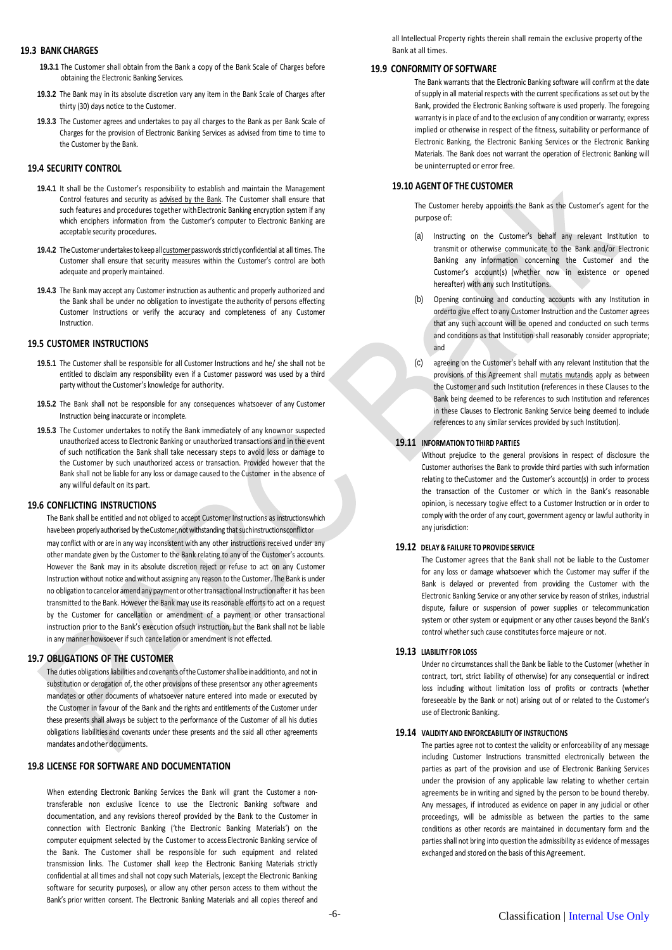#### **19.3 BANK CHARGES**

- **19.3.1** The Customer shall obtain from the Bank a copy of the Bank Scale of Charges before obtaining the Electronic Banking Services.
- **19.3.2** The Bank may in its absolute discretion vary any item in the Bank Scale of Charges after thirty (30) days notice to the Customer.
- **19.3.3** The Customer agrees and undertakes to pay all charges to the Bank as per Bank Scale of Charges for the provision of Electronic Banking Services as advised from time to time to the Customer by the Bank.

# **19.4 SECURITY CONTROL**

- **19.4.1** It shall be the Customer's responsibility to establish and maintain the Management Control features and security as advised by the Bank. The Customer shall ensure that such features and procedures together withElectronic Banking encryption system if any which enciphers information from the Customer's computer to Electronic Banking are acceptable security procedures.
- 19.4.2 The Customer undertakes to keep all customer passwords strictly confidential at all times. The Customer shall ensure that security measures within the Customer's control are both adequate and properly maintained.
- **19.4.3** The Bank may accept any Customer instruction as authentic and properly authorized and the Bank shall be under no obligation to investigate theauthority of persons effecting Customer Instructions or verify the accuracy and completeness of any Customer Instruction.

### **19.5 CUSTOMER INSTRUCTIONS**

- **19.5.1** The Customer shall be responsible for all Customer Instructions and he/ she shall not be entitled to disclaim any responsibility even if a Customer password was used by a third party without the Customer's knowledge for authority.
- **19.5.2** The Bank shall not be responsible for any consequences whatsoever of any Customer Instruction being inaccurate or incomplete.
- **19.5.3** The Customer undertakes to notify the Bank immediately of any knownor suspected unauthorized access to Electronic Banking or unauthorized transactions and in the event of such notification the Bank shall take necessary steps to avoid loss or damage to the Customer by such unauthorized access or transaction. Provided however that the Bank shall not be liable for any loss or damage caused to the Customer in the absence of any willful default on its part.

#### **19.6 CONFLICTING INSTRUCTIONS**

The Bank shall be entitled and not obliged to accept Customer Instructions as instructionswhich have been properly authorised by the Customer, not withstanding that such instructions conflictor may conflict with or are in any way inconsistent with any other instructions received under any other mandate given by the Customer to the Bank relating to any of the Customer's accounts. However the Bank may in its absolute discretion reject or refuse to act on any Customer Instruction without notice and without assigning any reason to the Customer. The Bank is under no obligation to cancel or amend any payment or other transactional Instruction after it has been transmitted to the Bank. However the Bank may use its reasonable efforts to act on a request by the Customer for cancellation or amendment of a payment or other transactional instruction prior to the Bank's execution ofsuch instruction, but the Bank shall not be liable in any manner howsoever if such cancellation or amendment is not effected.

### **19.7 OBLIGATIONS OF THE CUSTOMER**

The duties obligations liabilities and covenants of the Customer shall be in additionto, and not in substitution or derogation of, the other provisions of these presentsor any other agreements mandates or other documents of whatsoever nature entered into made or executed by the Customer in favour of the Bank and the rights and entitlements of the Customer under these presents shall always be subject to the performance of the Customer of all his duties obligations liabilities and covenants under these presents and the said all other agreements mandates and other documents.

#### **19.8 LICENSE FOR SOFTWARE AND DOCUMENTATION**

When extending Electronic Banking Services the Bank will grant the Customer a nontransferable non exclusive licence to use the Electronic Banking software and documentation, and any revisions thereof provided by the Bank to the Customer in connection with Electronic Banking ('the Electronic Banking Materials') on the computer equipment selected by the Customer to access Electronic Banking service of the Bank. The Customer shall be responsible for such equipment and related transmission links. The Customer shall keep the Electronic Banking Materials strictly confidential at all times and shall not copy such Materials, (except the Electronic Banking software for security purposes), or allow any other person access to them without the Bank's prior written consent. The Electronic Banking Materials and all copies thereof and all Intellectual Property rights therein shall remain the exclusive property ofthe Bank at all times.

# **19.9 CONFORMITY OF SOFTWARE**

The Bank warrants that the Electronic Banking software will confirm at the date of supply in all material respects with the current specifications as set out by the Bank, provided the Electronic Banking software is used properly. The foregoing warranty is in place of and to the exclusion of any condition or warranty; express implied or otherwise in respect of the fitness, suitability or performance of Electronic Banking, the Electronic Banking Services or the Electronic Banking Materials. The Bank does not warrant the operation of Electronic Banking will be uninterrupted or error free.

#### **19.10 AGENT OF THE CUSTOMER**

The Customer hereby appoints the Bank as the Customer's agent for the purpose of:

- (a) Instructing on the Customer's behalf any relevant Institution to transmit or otherwise communicate to the Bank and/or Electronic Banking any information concerning the Customer and the Customer's account(s) (whether now in existence or opened hereafter) with any such Institutions.
- (b) Opening continuing and conducting accounts with any Institution in orderto give effect to any Customer Instruction and the Customer agrees that any such account will be opened and conducted on such terms and conditions as that Institution shall reasonably consider appropriate; and
- (c) agreeing on the Customer's behalf with any relevant Institution that the provisions of this Agreement shall mutatis mutandis apply as between the Customer and such Institution (references in these Clauses to the Bank being deemed to be references to such Institution and references in these Clauses to Electronic Banking Service being deemed to include references to any similar services provided by such Institution).

#### **19.11 INFORMATION TOTHIRD PARTIES**

Without prejudice to the general provisions in respect of disclosure the Customer authorises the Bank to provide third parties with such information relating to theCustomer and the Customer's account(s) in order to process the transaction of the Customer or which in the Bank's reasonable opinion, is necessary togive effect to a Customer Instruction or in order to comply with the order of any court, government agency or lawful authority in any jurisdiction:

#### **19.12 DELAY & FAILURE TO PROVIDE SERVICE**

The Customer agrees that the Bank shall not be liable to the Customer for any loss or damage whatsoever which the Customer may suffer if the Bank is delayed or prevented from providing the Customer with the Electronic Banking Service or any other service by reason of strikes, industrial dispute, failure or suspension of power supplies or telecommunication system or other system or equipment or any other causes beyond the Bank's control whether such cause constitutes force majeure or not.

### **19.13 LIABILITY FOR LOSS**

Under no circumstances shall the Bank be liable to the Customer (whether in contract, tort, strict liability of otherwise) for any consequential or indirect loss including without limitation loss of profits or contracts (whether foreseeable by the Bank or not) arising out of or related to the Customer's use of Electronic Banking.

#### **19.14 VALIDITY AND ENFORCEABILITY OF INSTRUCTIONS**

The parties agree not to contest the validity or enforceability of any message including Customer Instructions transmitted electronically between the parties as part of the provision and use of Electronic Banking Services under the provision of any applicable law relating to whether certain agreements be in writing and signed by the person to be bound thereby. Any messages, if introduced as evidence on paper in any judicial or other proceedings, will be admissible as between the parties to the same conditions as other records are maintained in documentary form and the parties shall not bring into question the admissibility as evidence of messages exchanged and stored on the basis of this Agreement.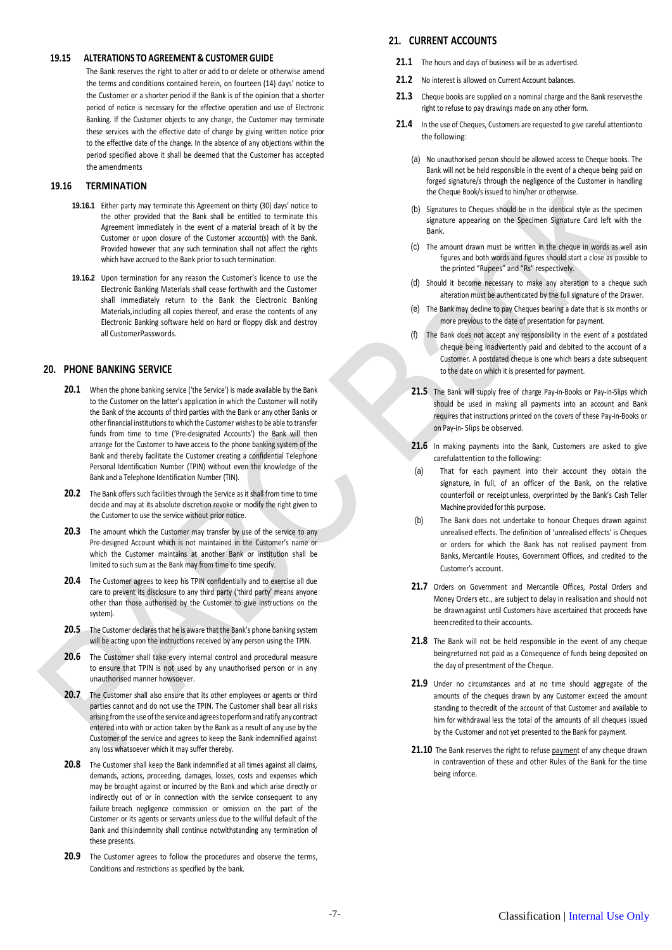#### **19.15 ALTERATIONS TO AGREEMENT & CUSTOMER GUIDE**

The Bank reserves the right to alter or add to or delete or otherwise amend the terms and conditions contained herein, on fourteen (14) days' notice to the Customer or a shorter period if the Bank is of the opinion that a shorter period of notice is necessary for the effective operation and use of Electronic Banking. If the Customer objects to any change, the Customer may terminate these services with the effective date of change by giving written notice prior to the effective date of the change. In the absence of any objections within the period specified above it shall be deemed that the Customer has accepted the amendments

### **19.16 TERMINATION**

- **19.16.1** Either party may terminate this Agreement on thirty (30) days' notice to the other provided that the Bank shall be entitled to terminate this Agreement immediately in the event of a material breach of it by the Customer or upon closure of the Customer account(s) with the Bank. Provided however that any such termination shall not affect the rights which have accrued to the Bank prior to such termination.
- **19.16.2** Upon termination for any reason the Customer's licence to use the Electronic Banking Materials shall cease forthwith and the Customer shall immediately return to the Bank the Electronic Banking Materials,including all copies thereof, and erase the contents of any Electronic Banking software held on hard or floppy disk and destroy all CustomerPasswords.

# **20. PHONE BANKING SERVICE**

- **20.1** When the phone banking service ('the Service') is made available by the Bank to the Customer on the latter's application in which the Customer will notify the Bank of the accounts of third parties with the Bank or any other Banks or other financial institutions to which the Customer wishes to be able to transfer funds from time to time ('Pre-designated Accounts') the Bank will then arrange for the Customer to have access to the phone banking system of the Bank and thereby facilitate the Customer creating a confidential Telephone Personal Identification Number (TPIN) without even the knowledge of the Bank and a Telephone Identification Number (TIN).
- **20.2** The Bank offers such facilities through the Service as it shall from time to time decide and may at its absolute discretion revoke or modify the right given to the Customer to use the service without prior notice.
- **20.3** The amount which the Customer may transfer by use of the service to any Pre-designed Account which is not maintained in the Customer's name or which the Customer maintains at another Bank or institution shall be limited to such sum as the Bank may from time to time specify.
- **20.4** The Customer agrees to keep his TPIN confidentially and to exercise all due care to prevent its disclosure to any third party ('third party' means anyone other than those authorised by the Customer to give instructions on the system).
- 20.5 The Customer declares that he is aware that the Bank's phone banking system will be acting upon the instructions received by any person using the TPIN.
- **20.6** The Customer shall take every internal control and procedural measure to ensure that TPIN is not used by any unauthorised person or in any unauthorised manner howsoever.
- **20.7** The Customer shall also ensure that its other employees or agents or third parties cannot and do not use the TPIN. The Customer shall bear all risks arising from the use of the service and agrees to perform and ratify any contract entered into with or action taken by the Bank as a result of any use by the Customer of the service and agrees to keep the Bank indemnified against any loss whatsoever which it may suffer thereby.
- **20.8** The Customer shall keep the Bank indemnified at all times against all claims, demands, actions, proceeding, damages, losses, costs and expenses which may be brought against or incurred by the Bank and which arise directly or indirectly out of or in connection with the service consequent to any failure breach negligence commission or omission on the part of the Customer or its agents or servants unless due to the willful default of the Bank and thisindemnity shall continue notwithstanding any termination of these presents.
- 20.9 The Customer agrees to follow the procedures and observe the terms, Conditions and restrictions as specified by the bank.

# **21. CURRENT ACCOUNTS**

- 21.1 The hours and days of business will be as advertised.
- 21.2 No interest is allowed on Current Account balances.
- **21.3** Cheque books are supplied on a nominal charge and the Bank reservesthe right to refuse to pay drawings made on any other form.
- 21.4 In the use of Cheques, Customers are requested to give careful attention to the following:
	- (a) No unauthorised person should be allowed access to Cheque books. The Bank will not be held responsible in the event of a cheque being paid on forged signature/s through the negligence of the Customer in handling the Cheque Book/s issued to him/her or otherwise.
	- Signatures to Cheques should be in the identical style as the specimen signature appearing on the Specimen Signature Card left with the Bank.
	- (c) The amount drawn must be written in the cheque in words as well asin figures and both words and figures should start a close as possible to the printed "Rupees" and "Rs" respectively.
	- (d) Should it become necessary to make any alteration to a cheque such alteration must be authenticated by the full signature of the Drawer.
	- (e) The Bank may decline to pay Cheques bearing a date that is six months or more previous to the date of presentation for payment.
	- (f) The Bank does not accept any responsibility in the event of a postdated cheque being inadvertently paid and debited to the account of a Customer. A postdated cheque is one which bears a date subsequent to the date on which it is presented for payment.
	- **21.5** The Bank will supply free of charge Pay-in-Books or Pay-in-Slips which should be used in making all payments into an account and Bank requires that instructions printed on the covers of these Pay-in-Books or on Pay-in- Slips be observed.
	- **21.6** In making payments into the Bank, Customers are asked to give carefulattention to the following:
	- (a) That for each payment into their account they obtain the signature, in full, of an officer of the Bank, on the relative counterfoil or receipt unless, overprinted by the Bank's Cash Teller Machine provided forthis purpose.
	- (b) The Bank does not undertake to honour Cheques drawn against unrealised effects. The definition of 'unrealised effects' is Cheques or orders for which the Bank has not realised payment from Banks, Mercantile Houses, Government Offices, and credited to the Customer's account.
	- 21.7 Orders on Government and Mercantile Offices, Postal Orders and Money Orders etc., are subject to delay in realisation and should not be drawn against until Customers have ascertained that proceeds have beencredited to their accounts.
	- **21.8** The Bank will not be held responsible in the event of any cheque beingreturned not paid as a Consequence of funds being deposited on the day of presentment of the Cheque.
	- 21.9 Under no circumstances and at no time should aggregate of the amounts of the cheques drawn by any Customer exceed the amount standing to thecredit of the account of that Customer and available to him for withdrawal less the total of the amounts of all cheques issued by the Customer and not yet presented to the Bank for payment.
	- **21.10** The Bank reserves the right to refuse payment of any cheque drawn in contravention of these and other Rules of the Bank for the time being inforce.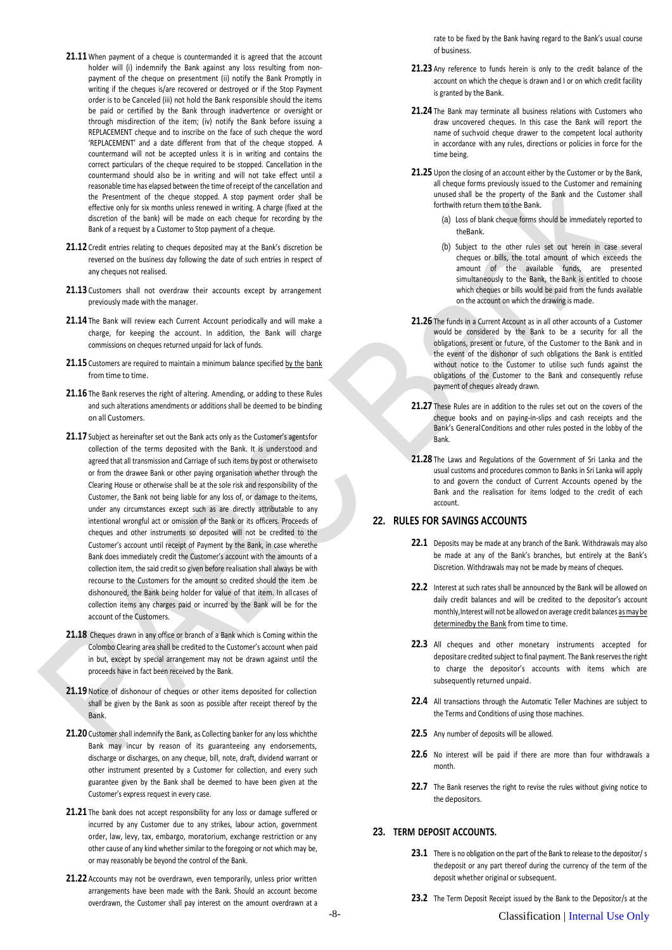- 21.11 When payment of a cheque is countermanded it is agreed that the account holder will (i) indemnify the Bank against any loss resulting from nonpayment of the cheque on presentment (ii) notify the Bank Promptly in writing if the cheques is/are recovered or destroyed or if the Stop Payment order is to be Canceled (iii) not hold the Bank responsible should the items be paid or certified by the Bank through inadvertence or oversight or through misdirection of the item; (iv) notify the Bank before issuing a REPLACEMENT cheque and to inscribe on the face of such cheque the word 'REPLACEMENT' and a date different from that of the cheque stopped. A countermand will not be accepted unless it is in writing and contains the correct particulars of the cheque required to be stopped. Cancellation in the countermand should also be in writing and will not take effect until a reasonable time has elapsed between the time of receipt of the cancellation and the Presentment of the cheque stopped. A stop payment order shall be effective only for six months unless renewed in writing. A charge (fixed at the discretion of the bank) will be made on each cheque for recording by the Bank of a request by a Customer to Stop payment of a cheque.
- **21.12** Credit entries relating to cheques deposited may at the Bank's discretion be reversed on the business day following the date of such entries in respect of any cheques not realised.
- **21.13** Customers shall not overdraw their accounts except by arrangement previously made with the manager.
- **21.14** The Bank will review each Current Account periodically and will make a charge, for keeping the account. In addition, the Bank will charge commissions on cheques returned unpaid for lack of funds.
- 21.15 Customers are required to maintain a minimum balance specified by the bank from time to time.
- **21.16** The Bank reserves the right of altering. Amending, or adding to these Rules and such alterations amendments or additions shall be deemed to be binding on all Customers.
- 21.17 Subject as hereinafter set out the Bank acts only as the Customer's agentsfor collection of the terms deposited with the Bank. It is understood and agreed that all transmission and Carriage of such items by post or otherwiseto or from the drawee Bank or other paying organisation whether through the Clearing House or otherwise shall be at the sole risk and responsibility of the Customer, the Bank not being liable for any loss of, or damage to the items, under any circumstances except such as are directly attributable to any intentional wrongful act or omission of the Bank or its officers. Proceeds of cheques and other instruments so deposited will not be credited to the Customer's account until receipt of Payment by the Bank, in case wherethe Bank does immediately credit the Customer's account with the amounts of a collection item, the said credit so given before realisation shall always be with recourse to the Customers for the amount so credited should the item .be dishonoured, the Bank being holder for value of that item. In all cases of collection items any charges paid or incurred by the Bank will be for the account of the Customers.
- **21.18** Cheques drawn in any office or branch of a Bank which is Coming within the Colombo Clearing area shall be credited to the Customer's account when paid in but, except by special arrangement may not be drawn against until the proceeds have in fact been received by the Bank.
- **21.19** Notice of dishonour of cheques or other items deposited for collection shall be given by the Bank as soon as possible after receipt thereof by the Bank.
- **21.20** Customer shall indemnify the Bank, as Collecting banker for any loss whichthe Bank may incur by reason of its guaranteeing any endorsements, discharge or discharges, on any cheque, bill, note, draft, dividend warrant or other instrument presented by a Customer for collection, and every such guarantee given by the Bank shall be deemed to have been given at the Customer's express request in every case.
- **21.21** The bank does not accept responsibility for any loss or damage suffered or incurred by any Customer due to any strikes, labour action, government order, law, levy, tax, embargo, moratorium, exchange restriction or any other cause of any kind whether similar to the foregoing or not which may be, or may reasonably be beyond the control of the Bank.
- **21.22** Accounts may not be overdrawn, even temporarily, unless prior written arrangements have been made with the Bank. Should an account become overdrawn, the Customer shall pay interest on the amount overdrawn at a

rate to be fixed by the Bank having regard to the Bank's usual course of business.

- **21.23** Any reference to funds herein is only to the credit balance of the account on which the cheque is drawn and I or on which credit facility is granted by the Bank.
- **21.24** The Bank may terminate all business relations with Customers who draw uncovered cheques. In this case the Bank will report the name of suchvoid cheque drawer to the competent local authority in accordance with any rules, directions or policies in force for the time being.
- 21.25 Upon the closing of an account either by the Customer or by the Bank, all cheque forms previously issued to the Customer and remaining unused shall be the property of the Bank and the Customer shall forthwith return them to the Bank.
	- (a) Loss of blank cheque forms should be immediately reported to theBank.
	- (b) Subject to the other rules set out herein in case several cheques or bills, the total amount of which exceeds the amount of the available funds, are presented simultaneously to the Bank, the Bank is entitled to choose which cheques or bills would be paid from the funds available on the account on which the drawing is made.
- **21.26** The funds in a Current Account as in all other accounts of a Customer would be considered by the Bank to be a security for all the obligations, present or future, of the Customer to the Bank and in the event of the dishonor of such obligations the Bank is entitled without notice to the Customer to utilise such funds against the obligations of the Customer to the Bank and consequently refuse payment of cheques already drawn.
- **21.27** These Rules are in addition to the rules set out on the covers of the cheque books and on paying-in-slips and cash receipts and the Bank's GeneralConditions and other rules posted in the lobby of the Bank.
- **21.28** The Laws and Regulations of the Government of Sri Lanka and the usual customs and procedures common to Banks in Sri Lanka will apply to and govern the conduct of Current Accounts opened by the Bank and the realisation for items lodged to the credit of each account.

# **22. RULES FOR SAVINGS ACCOUNTS**

- **22.1** Deposits may be made at any branch of the Bank. Withdrawals may also be made at any of the Bank's branches, but entirely at the Bank's Discretion. Withdrawals may not be made by means of cheques.
- **22.2** Interest at such rates shall be announced by the Bank will be allowed on daily credit balances and will be credited to the depositor's account monthly, Interest will not be allowed on average credit balances as may be determinedby the Bank from time to time.
- **22.3** All cheques and other monetary instruments accepted for depositare credited subject to final payment. The Bank reservesthe right to charge the depositor's accounts with items which are subsequently returned unpaid.
- **22.4** All transactions through the Automatic Teller Machines are subject to the Terms and Conditions of using those machines.
- **22.5** Any number of deposits will be allowed.
- **22.6** No interest will be paid if there are more than four withdrawals a month.
- 22.7 The Bank reserves the right to revise the rules without giving notice to the depositors.

### **23. TERM DEPOSIT ACCOUNTS.**

- **23.1** There is no obligation on the part of the Bank to release to the depositor/s thedeposit or any part thereof during the currency of the term of the deposit whether original or subsequent.
- **23.2** The Term Deposit Receipt issued by the Bank to the Depositor/s at the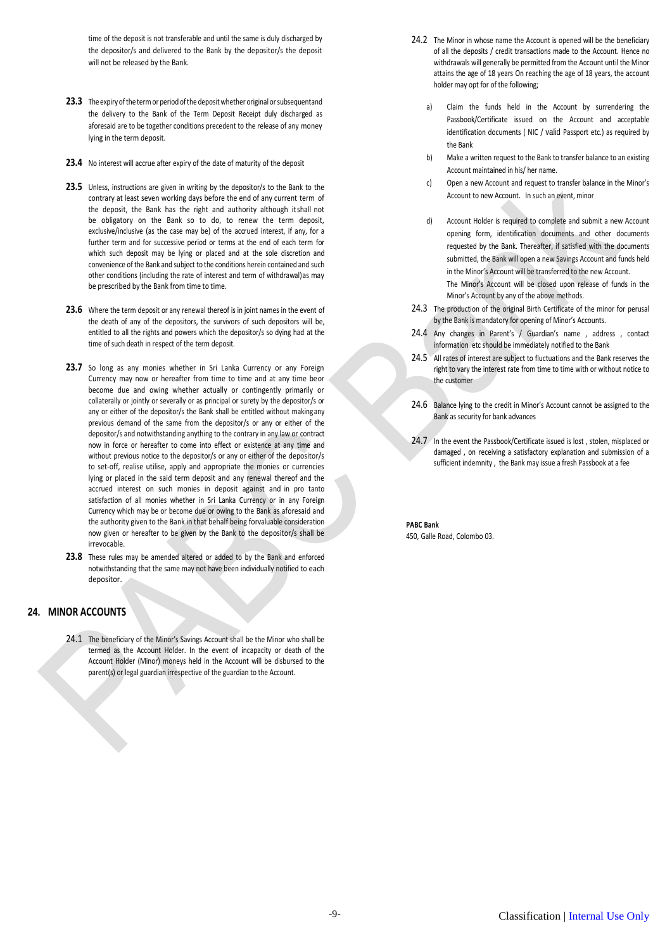time of the deposit is not transferable and until the same is duly discharged by the depositor/s and delivered to the Bank by the depositor/s the deposit will not be released by the Bank.

- 23.3 The expiry of the term or period of the deposit whether original or subsequentand the delivery to the Bank of the Term Deposit Receipt duly discharged as aforesaid are to be together conditions precedent to the release of any money lying in the term deposit.
- **23.4** No interest will accrue after expiry of the date of maturity of the deposit
- 23.5 Unless, instructions are given in writing by the depositor/s to the Bank to the contrary at least seven working days before the end of any current term of the deposit, the Bank has the right and authority although itshall not be obligatory on the Bank so to do, to renew the term deposit, exclusive/inclusive (as the case may be) of the accrued interest, if any, for a further term and for successive period or terms at the end of each term for which such deposit may be lying or placed and at the sole discretion and convenience of the Bank and subject to the conditions herein contained and such other conditions (including the rate of interest and term of withdrawal) as may be prescribed by the Bank from time to time.
- **23.6** Where the term deposit or any renewal thereof is in joint names in the event of the death of any of the depositors, the survivors of such depositors will be, entitled to all the rights and powers which the depositor/s so dying had at the time of such death in respect of the term deposit.
- 23.7 So long as any monies whether in Sri Lanka Currency or any Foreign Currency may now or hereafter from time to time and at any time beor become due and owing whether actually or contingently primarily or collaterally or jointly or severally or as principal or surety by the depositor/s or any or either of the depositor/s the Bank shall be entitled without makingany previous demand of the same from the depositor/s or any or either of the depositor/s and notwithstanding anything to the contrary in any law or contract now in force or hereafter to come into effect or existence at any time and without previous notice to the depositor/s or any or either of the depositor/s to set-off, realise utilise, apply and appropriate the monies or currencies lying or placed in the said term deposit and any renewal thereof and the accrued interest on such monies in deposit against and in pro tanto satisfaction of all monies whether in Sri Lanka Currency or in any Foreign Currency which may be or become due or owing to the Bank as aforesaid and the authority given to the Bank in that behalf being forvaluable consideration now given or hereafter to be given by the Bank to the depositor/s shall be irrevocable.
- **23.8** These rules may be amended altered or added to by the Bank and enforced notwithstanding that the same may not have been individually notified to each depositor.

# **24. MINOR ACCOUNTS**

24.1 The beneficiary of the Minor's Savings Account shall be the Minor who shall be termed as the Account Holder. In the event of incapacity or death of the Account Holder (Minor) moneys held in the Account will be disbursed to the parent(s) or legal guardian irrespective of the guardian to the Account.

- 24.2 The Minor in whose name the Account is opened will be the beneficiary of all the deposits / credit transactions made to the Account. Hence no withdrawals will generally be permitted from the Account until the Minor attains the age of 18 years On reaching the age of 18 years, the account holder may opt for of the following;
	- Claim the funds held in the Account by surrendering the Passbook/Certificate issued on the Account and acceptable identification documents ( NIC / valid Passport etc.) as required by the Bank
	- b) Make a written request to the Bank to transfer balance to an existing Account maintained in his/ her name.
	- c) Open a new Account and request to transfer balance in the Minor's Account to new Account. In such an event, minor
	- d) Account Holder is required to complete and submit a new Account opening form, identification documents and other documents requested by the Bank. Thereafter, if satisfied with the documents submitted, the Bank will open a new Savings Account and funds held in the Minor's Account will be transferred to the new Account. The Minor's Account will be closed upon release of funds in the Minor's Account by any of the above methods.
- 24.3 The production of the original Birth Certificate of the minor for perusal by the Bank is mandatory for opening of Minor's Accounts.
- 24.4 Any changes in Parent's / Guardian's name , address , contact information etc should be immediately notified to the Bank
- 24.5 All rates of interest are subject to fluctuations and the Bank reserves the right to vary the interest rate from time to time with or without notice to the customer
- 24.6 Balance lying to the credit in Minor's Account cannot be assigned to the Bank as security for bank advances
- 24.7 In the event the Passbook/Certificate issued is lost, stolen, misplaced or damaged , on receiving a satisfactory explanation and submission of a sufficient indemnity , the Bank may issue a fresh Passbook at a fee

**PABC Bank** 450, Galle Road, Colombo 03.